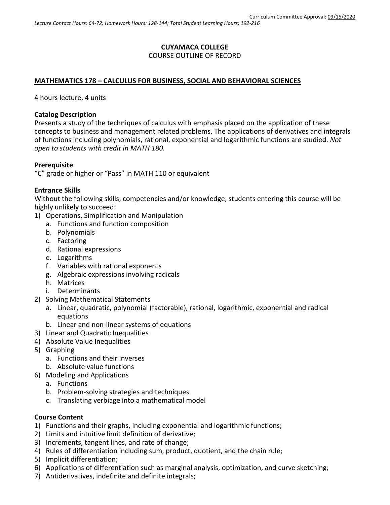# **CUYAMACA COLLEGE** COURSE OUTLINE OF RECORD

## **MATHEMATICS 178 – CALCULUS FOR BUSINESS, SOCIAL AND BEHAVIORAL SCIENCES**

4 hours lecture, 4 units

## **Catalog Description**

Presents a study of the techniques of calculus with emphasis placed on the application of these concepts to business and management related problems. The applications of derivatives and integrals of functions including polynomials, rational, exponential and logarithmic functions are studied. *Not open to students with credit in MATH 180.*

## **Prerequisite**

"C" grade or higher or "Pass" in MATH 110 or equivalent

#### **Entrance Skills**

Without the following skills, competencies and/or knowledge, students entering this course will be highly unlikely to succeed:

- 1) Operations, Simplification and Manipulation
	- a. Functions and function composition
	- b. Polynomials
	- c. Factoring
	- d. Rational expressions
	- e. Logarithms
	- f. Variables with rational exponents
	- g. Algebraic expressions involving radicals
	- h. Matrices
	- i. Determinants
- 2) Solving Mathematical Statements
	- a. Linear, quadratic, polynomial (factorable), rational, logarithmic, exponential and radical equations
	- b. Linear and non-linear systems of equations
- 3) Linear and Quadratic Inequalities
- 4) Absolute Value Inequalities
- 5) Graphing
	- a. Functions and their inverses
	- b. Absolute value functions
- 6) Modeling and Applications
	- a. Functions
	- b. Problem-solving strategies and techniques
	- c. Translating verbiage into a mathematical model

## **Course Content**

- 1) Functions and their graphs, including exponential and logarithmic functions;
- 2) Limits and intuitive limit definition of derivative;
- 3) Increments, tangent lines, and rate of change;
- 4) Rules of differentiation including sum, product, quotient, and the chain rule;
- 5) Implicit differentiation;
- 6) Applications of differentiation such as marginal analysis, optimization, and curve sketching;
- 7) Antiderivatives, indefinite and definite integrals;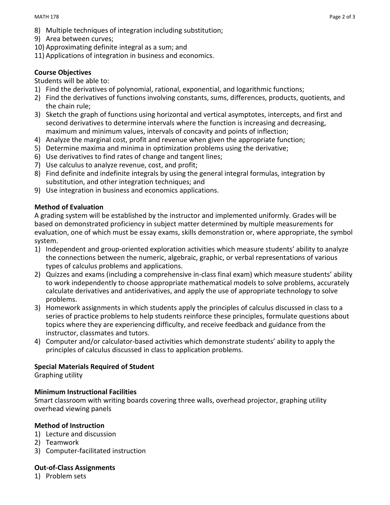- 8) Multiple techniques of integration including substitution;
- 9) Area between curves;
- 10) Approximating definite integral as a sum; and
- 11) Applications of integration in business and economics.

# **Course Objectives**

## Students will be able to:

- 1) Find the derivatives of polynomial, rational, exponential, and logarithmic functions;
- 2) Find the derivatives of functions involving constants, sums, differences, products, quotients, and the chain rule;
- 3) Sketch the graph of functions using horizontal and vertical asymptotes, intercepts, and first and second derivatives to determine intervals where the function is increasing and decreasing, maximum and minimum values, intervals of concavity and points of inflection;
- 4) Analyze the marginal cost, profit and revenue when given the appropriate function;
- 5) Determine maxima and minima in optimization problems using the derivative;
- 6) Use derivatives to find rates of change and tangent lines;
- 7) Use calculus to analyze revenue, cost, and profit;
- 8) Find definite and indefinite integrals by using the general integral formulas, integration by substitution, and other integration techniques; and
- 9) Use integration in business and economics applications.

# **Method of Evaluation**

A grading system will be established by the instructor and implemented uniformly. Grades will be based on demonstrated proficiency in subject matter determined by multiple measurements for evaluation, one of which must be essay exams, skills demonstration or, where appropriate, the symbol system.

- 1) Independent and group-oriented exploration activities which measure students' ability to analyze the connections between the numeric, algebraic, graphic, or verbal representations of various types of calculus problems and applications.
- 2) Quizzes and exams (including a comprehensive in-class final exam) which measure students' ability to work independently to choose appropriate mathematical models to solve problems, accurately calculate derivatives and antiderivatives, and apply the use of appropriate technology to solve problems.
- 3) Homework assignments in which students apply the principles of calculus discussed in class to a series of practice problems to help students reinforce these principles, formulate questions about topics where they are experiencing difficulty, and receive feedback and guidance from the instructor, classmates and tutors.
- 4) Computer and/or calculator-based activities which demonstrate students' ability to apply the principles of calculus discussed in class to application problems.

# **Special Materials Required of Student**

Graphing utility

# **Minimum Instructional Facilities**

Smart classroom with writing boards covering three walls, overhead projector, graphing utility overhead viewing panels

# **Method of Instruction**

- 1) Lecture and discussion
- 2) Teamwork
- 3) Computer-facilitated instruction

# **Out-of-Class Assignments**

1) Problem sets